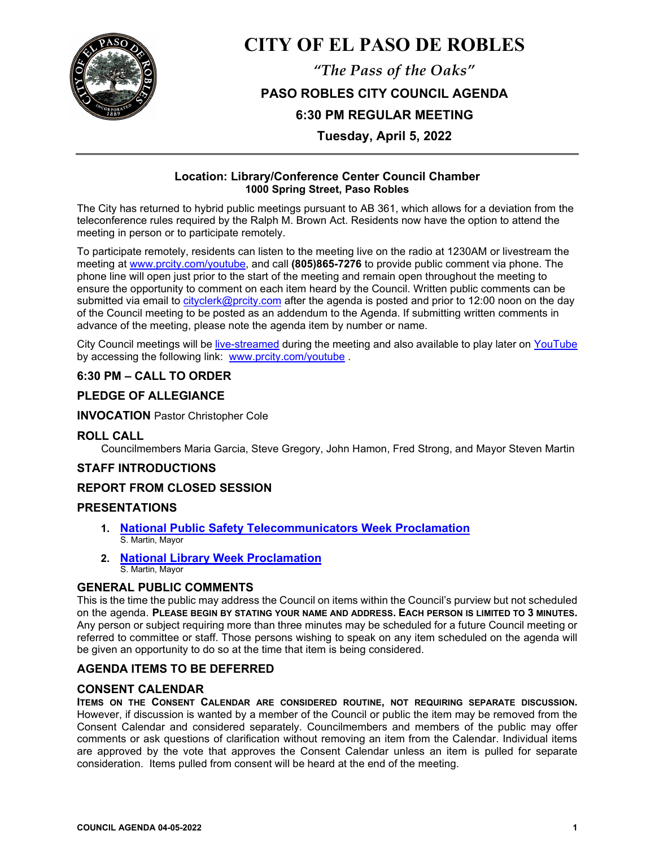

# **CITY OF EL PASO DE ROBLES**

*"The Pass of the Oaks"* **PASO ROBLES CITY COUNCIL AGENDA 6:30 PM REGULAR MEETING**

**Tuesday, April 5, 2022**

## **Location: Library/Conference Center Council Chamber 1000 Spring Street, Paso Robles**

The City has returned to hybrid public meetings pursuant to AB 361, which allows for a deviation from the teleconference rules required by the Ralph M. Brown Act. Residents now have the option to attend the meeting in person or to participate remotely.

To participate remotely, residents can listen to the meeting live on the radio at 1230AM or livestream the meeting at [www.prcity.com/youtube,](http://www.prcity.com/youtube) and call **(805)865-7276** to provide public comment via phone. The phone line will open just prior to the start of the meeting and remain open throughout the meeting to ensure the opportunity to comment on each item heard by the Council. Written public comments can be submitted via email to [cityclerk@prcity.com](mailto:cityclerk@prcity.com) after the agenda is posted and prior to 12:00 noon on the day of the Council meeting to be posted as an addendum to the Agenda. If submitting written comments in advance of the meeting, please note the agenda item by number or name.

City Council meetings will be [live-streamed](https://www.youtube.com/channel/UCxElWtI1YhkPr6KI552RDuw) during the meeting and also available to play later on [YouTube](https://www.youtube.com/channel/UCxElWtI1YhkPr6KI552RDuw) by accessing the following link: [www.prcity.com/youtube](http://www.prcity.com/youtube) .

# **6:30 PM – CALL TO ORDER**

# **PLEDGE OF ALLEGIANCE**

## **INVOCATION** Pastor Christopher Cole

## **ROLL CALL**

Councilmembers Maria Garcia, Steve Gregory, John Hamon, Fred Strong, and Mayor Steven Martin

## **STAFF INTRODUCTIONS**

## **REPORT FROM CLOSED SESSION**

## **PRESENTATIONS**

- **1. [National Public Safety Telecommunicators Week Proclamation](https://www.prcity.com/DocumentCenter/View/33486/April-5-2022-City-Council-Agenda-Item-01-PDF)**  S. Martin, Mayor
- **2. [National Library Week Proclamation](https://www.prcity.com/DocumentCenter/View/33487/April-5-2022-City-Council-Agenda-Item-02-PDF)** S. Martin, Mayor

## **GENERAL PUBLIC COMMENTS**

This is the time the public may address the Council on items within the Council's purview but not scheduled on the agenda. **PLEASE BEGIN BY STATING YOUR NAME AND ADDRESS. EACH PERSON IS LIMITED TO 3 MINUTES.** Any person or subject requiring more than three minutes may be scheduled for a future Council meeting or referred to committee or staff. Those persons wishing to speak on any item scheduled on the agenda will be given an opportunity to do so at the time that item is being considered.

## **AGENDA ITEMS TO BE DEFERRED**

# **CONSENT CALENDAR**

**ITEMS ON THE CONSENT CALENDAR ARE CONSIDERED ROUTINE, NOT REQUIRING SEPARATE DISCUSSION.** However, if discussion is wanted by a member of the Council or public the item may be removed from the Consent Calendar and considered separately. Councilmembers and members of the public may offer comments or ask questions of clarification without removing an item from the Calendar. Individual items are approved by the vote that approves the Consent Calendar unless an item is pulled for separate consideration. Items pulled from consent will be heard at the end of the meeting.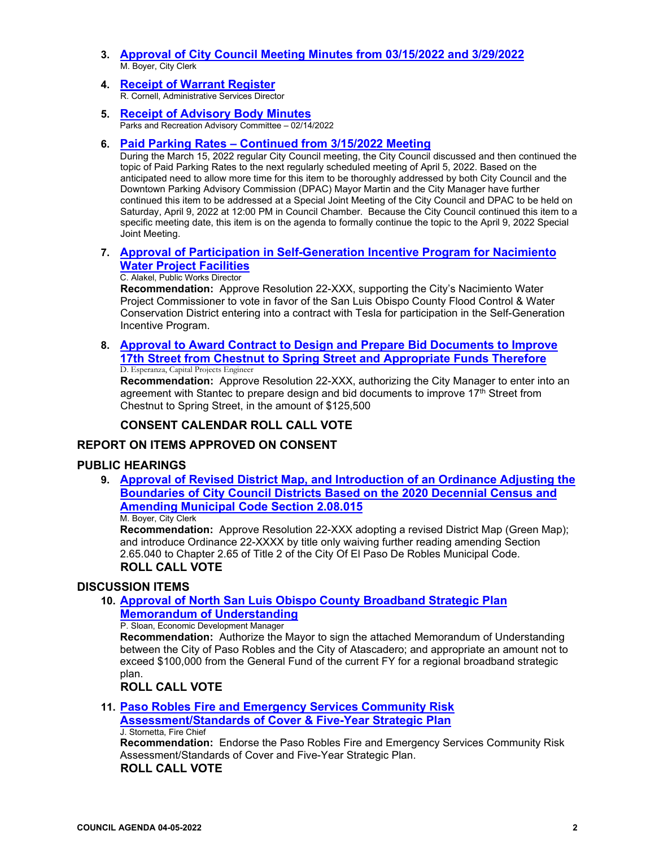- **3. [Approval of City Council Meeting Minutes from 03/15/2022](https://www.prcity.com/DocumentCenter/View/33488/April-5-2022-City-Council-Agenda-Item-03-PDF) and 3/29/2022** M. Boyer, City Clerk
- **4. Receipt [of Warrant Register](https://www.prcity.com/DocumentCenter/View/33489/April-5-2022-City-Council-Agenda-Item-04-PDF)**R. Cornell, Administrative Services Director
- **5. [Receipt of Advisory Body Minutes](https://www.prcity.com/DocumentCenter/View/33490/April-5-2022-City-Council-Agenda-Item-05-PDF)** Parks and Recreation Advisory Committee – 02/14/2022
- **6. [Paid Parking Rates Continued from 3/15/2022 Meeting](https://www.prcity.com/DocumentCenter/View/33476/April-5-2022-City-Council-Agenda-Item-06-PDF)**

During the March 15, 2022 regular City Council meeting, the City Council discussed and then continued the topic of Paid Parking Rates to the next regularly scheduled meeting of April 5, 2022. Based on the anticipated need to allow more time for this item to be thoroughly addressed by both City Council and the Downtown Parking Advisory Commission (DPAC) Mayor Martin and the City Manager have further continued this item to be addressed at a Special Joint Meeting of the City Council and DPAC to be held on Saturday, April 9, 2022 at 12:00 PM in Council Chamber. Because the City Council continued this item to a specific meeting date, this item is on the agenda to formally continue the topic to the April 9, 2022 Special Joint Meeting.

## **7. [Approval of Participation in Self-Generation Incentive Program for Nacimiento](https://www.prcity.com/DocumentCenter/View/33477/April-5-2022-City-Council-Agenda-Item-07-PDF)  [Water Project Facilities](https://www.prcity.com/DocumentCenter/View/33477/April-5-2022-City-Council-Agenda-Item-07-PDF)**

## C. Alakel, Public Works Director

**Recommendation:** Approve Resolution 22-XXX, supporting the City's Nacimiento Water Project Commissioner to vote in favor of the San Luis Obispo County Flood Control & Water Conservation District entering into a contract with Tesla for participation in the Self-Generation Incentive Program.

**8. [Approval to Award Contract to Design and Prepare Bid Documents to Improve](https://www.prcity.com/DocumentCenter/View/33478/April-5-2022-City-Council-Agenda-Item-08-PDF)  [17th Street from Chestnut to Spring Street and Appropriate Funds Therefore](https://www.prcity.com/DocumentCenter/View/33478/April-5-2022-City-Council-Agenda-Item-08-PDF)** D. Esperanza, Capital Projects Engineer

**Recommendation:** Approve Resolution 22-XXX, authorizing the City Manager to enter into an agreement with Stantec to prepare design and bid documents to improve 17<sup>th</sup> Street from Chestnut to Spring Street, in the amount of \$125,500

# **CONSENT CALENDAR ROLL CALL VOTE**

# **REPORT ON ITEMS APPROVED ON CONSENT**

## **PUBLIC HEARINGS**

**9. [Approval of Revised District Map, and Introduction of an Ordinance Adjusting the](https://www.prcity.com/DocumentCenter/View/33479/April-5-2022-City-Council-Agenda-Item-09-PDF)  [Boundaries of City Council Districts Based on the 2020 Decennial Census and](https://www.prcity.com/DocumentCenter/View/33479/April-5-2022-City-Council-Agenda-Item-09-PDF)  [Amending Municipal Code Section 2.08.015](https://www.prcity.com/DocumentCenter/View/33479/April-5-2022-City-Council-Agenda-Item-09-PDF)** M. Boyer, City Clerk

**Recommendation:** Approve Resolution 22-XXX adopting a revised District Map (Green Map); and introduce Ordinance 22-XXXX by title only waiving further reading amending Section 2.65.040 to Chapter 2.65 of Title 2 of the City Of El Paso De Robles Municipal Code. **ROLL CALL VOTE**

#### **DISCUSSION ITEMS**

**10. [Approval of North San Luis Obispo County Broadband Strategic Plan](https://www.prcity.com/DocumentCenter/View/33480/April-5-2022-City-Council-Agenda-Item-10-PDF)  [Memorandum of Understanding](https://www.prcity.com/DocumentCenter/View/33480/April-5-2022-City-Council-Agenda-Item-10-PDF)**

#### P. Sloan, Economic Development Manager

**Recommendation:** Authorize the Mayor to sign the attached Memorandum of Understanding between the City of Paso Robles and the City of Atascadero; and appropriate an amount not to exceed \$100,000 from the General Fund of the current FY for a regional broadband strategic plan.

**ROLL CALL VOTE**

**11. [Paso Robles Fire and Emergency Services Community Risk](https://www.prcity.com/DocumentCenter/View/33481/April-5-2022-City-Council-Agenda-Item-11-PDF)  [Assessment/Standards of Cover & Five-Year Strategic Plan](https://www.prcity.com/DocumentCenter/View/33481/April-5-2022-City-Council-Agenda-Item-11-PDF)**

#### J. Stornetta, Fire Chief

**Recommendation:** Endorse the Paso Robles Fire and Emergency Services Community Risk Assessment/Standards of Cover and Five-Year Strategic Plan.

## **ROLL CALL VOTE**